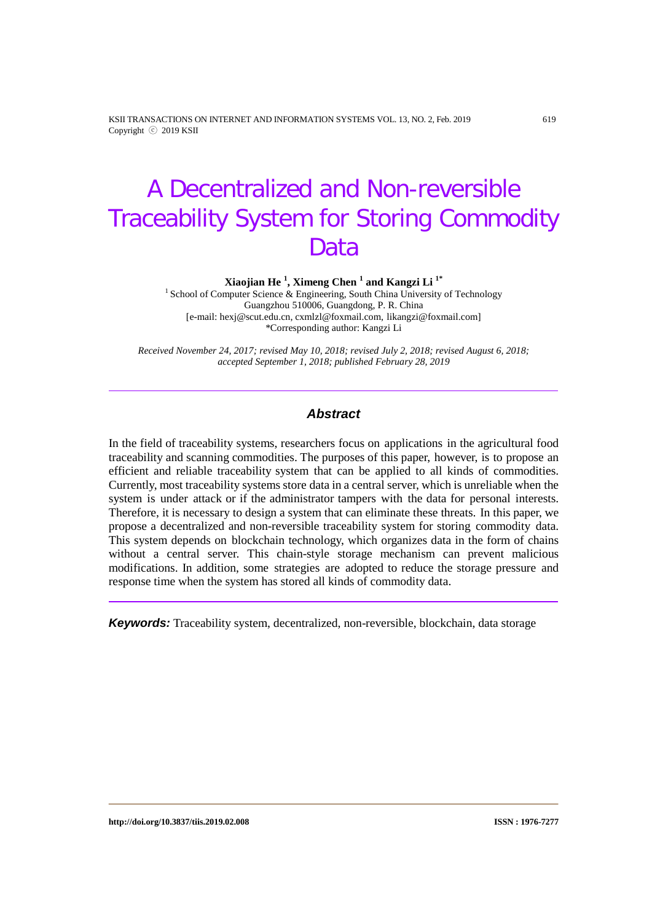KSII TRANSACTIONS ON INTERNET AND INFORMATION SYSTEMS VOL. 13, NO. 2, Feb. 2019 619 Copyright ⓒ 2019 KSII

# A Decentralized and Non-reversible Traceability System for Storing Commodity Data

**Xiaojian He <sup>1</sup> , Ximeng Chen <sup>1</sup> and Kangzi Li 1\***

<sup>1</sup> School of Computer Science & Engineering, South China University of Technology Guangzhou 510006, Guangdong, P. R. China [e-mail: hexj@scut.edu.cn, cxmlzl@foxmail.com, likangzi@foxmail.com] \*Corresponding author: Kangzi Li

*Received November 24, 2017; revised May 10, 2018; revised July 2, 2018; revised August 6, 2018; accepted September 1, 2018; published February 28, 2019*

## *Abstract*

In the field of traceability systems, researchers focus on applications in the agricultural food traceability and scanning commodities. The purposes of this paper, however, is to propose an efficient and reliable traceability system that can be applied to all kinds of commodities. Currently, most traceability systems store data in a central server, which is unreliable when the system is under attack or if the administrator tampers with the data for personal interests. Therefore, it is necessary to design a system that can eliminate these threats. In this paper, we propose a decentralized and non-reversible traceability system for storing commodity data. This system depends on blockchain technology, which organizes data in the form of chains without a central server. This chain-style storage mechanism can prevent malicious modifications. In addition, some strategies are adopted to reduce the storage pressure and response time when the system has stored all kinds of commodity data.

*Keywords:* Traceability system, decentralized, non-reversible, blockchain, data storage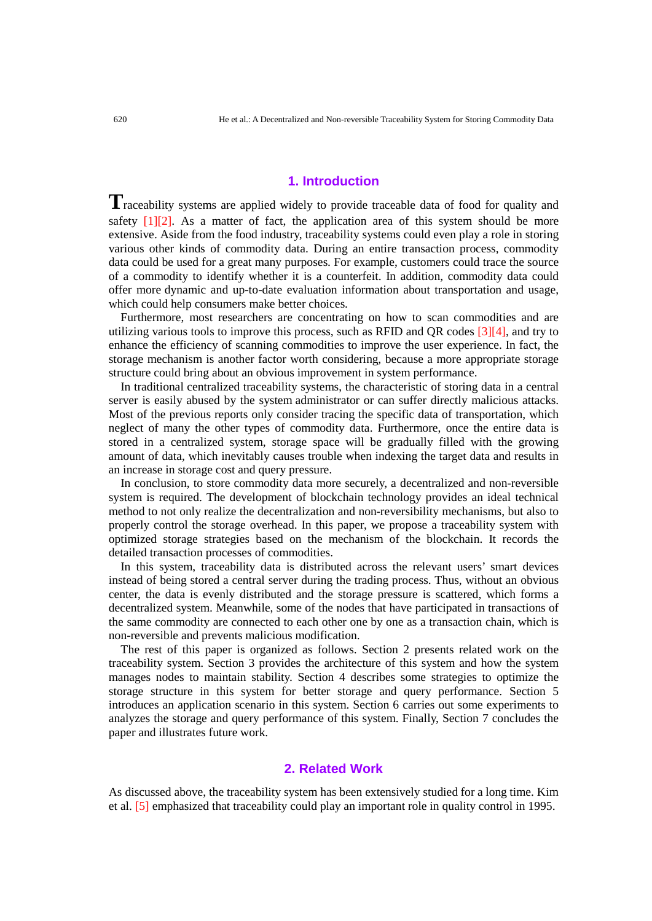## **1. Introduction**

Traceability systems are applied widely to provide traceable data of food for quality and safety  $[1][2]$ . As a matter of fact, the application area of this system should be more extensive. Aside from the food industry, traceability systems could even play a role in storing various other kinds of commodity data. During an entire transaction process, commodity data could be used for a great many purposes. For example, customers could trace the source of a commodity to identify whether it is a counterfeit. In addition, commodity data could offer more dynamic and up-to-date evaluation information about transportation and usage, which could help consumers make better choices.

Furthermore, most researchers are concentrating on how to scan commodities and are utilizing various tools to improve this process, such as RFID and QR codes [3][4], and try to enhance the efficiency of scanning commodities to improve the user experience. In fact, the storage mechanism is another factor worth considering, because a more appropriate storage structure could bring about an obvious improvement in system performance.

In traditional centralized traceability systems, the characteristic of storing data in a central server is easily abused by the system administrator or can suffer directly malicious attacks. Most of the previous reports only consider tracing the specific data of transportation, which neglect of many the other types of commodity data. Furthermore, once the entire data is stored in a centralized system, storage space will be gradually filled with the growing amount of data, which inevitably causes trouble when indexing the target data and results in an increase in storage cost and query pressure.

In conclusion, to store commodity data more securely, a decentralized and non-reversible system is required. The development of blockchain technology provides an ideal technical method to not only realize the decentralization and non-reversibility mechanisms, but also to properly control the storage overhead. In this paper, we propose a traceability system with optimized storage strategies based on the mechanism of the blockchain. It records the detailed transaction processes of commodities.

In this system, traceability data is distributed across the relevant users' smart devices instead of being stored a central server during the trading process. Thus, without an obvious center, the data is evenly distributed and the storage pressure is scattered, which forms a decentralized system. Meanwhile, some of the nodes that have participated in transactions of the same commodity are connected to each other one by one as a transaction chain, which is non-reversible and prevents malicious modification.

The rest of this paper is organized as follows. Section 2 presents related work on the traceability system. Section 3 provides the architecture of this system and how the system manages nodes to maintain stability. Section 4 describes some strategies to optimize the storage structure in this system for better storage and query performance. Section 5 introduces an application scenario in this system. Section 6 carries out some experiments to analyzes the storage and query performance of this system. Finally, Section 7 concludes the paper and illustrates future work.

## **2. Related Work**

As discussed above, the traceability system has been extensively studied for a long time. Kim et al. [5] emphasized that traceability could play an important role in quality control in 1995.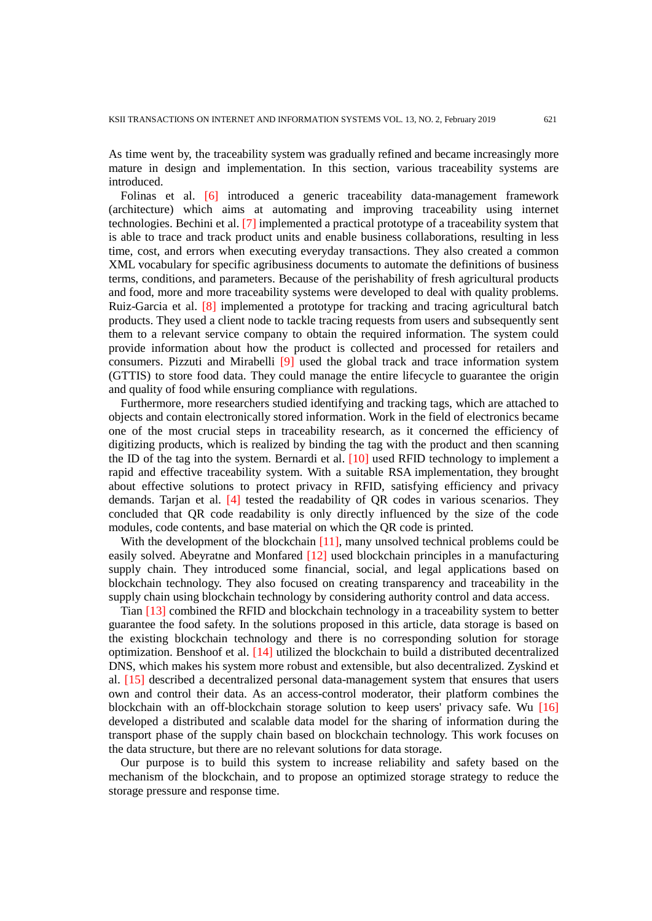As time went by, the traceability system was gradually refined and became increasingly more mature in design and implementation. In this section, various traceability systems are introduced.

Folinas et al. [6] introduced a generic traceability data-management framework (architecture) which aims at automating and improving traceability using internet technologies. Bechini et al. [7] implemented a practical prototype of a traceability system that is able to trace and track product units and enable business collaborations, resulting in less time, cost, and errors when executing everyday transactions. They also created a common XML vocabulary for specific agribusiness documents to automate the definitions of business terms, conditions, and parameters. Because of the perishability of fresh agricultural products and food, more and more traceability systems were developed to deal with quality problems. Ruiz-Garcia et al. [8] implemented a prototype for tracking and tracing agricultural batch products. They used a client node to tackle tracing requests from users and subsequently sent them to a relevant service company to obtain the required information. The system could provide information about how the product is collected and processed for retailers and consumers. Pizzuti and Mirabelli [9] used the global track and trace information system (GTTIS) to store food data. They could manage the entire lifecycle to guarantee the origin and quality of food while ensuring compliance with regulations.

Furthermore, more researchers studied identifying and tracking tags, which are attached to objects and contain electronically stored information. Work in the field of electronics became one of the most crucial steps in traceability research, as it concerned the efficiency of digitizing products, which is realized by binding the tag with the product and then scanning the ID of the tag into the system. Bernardi et al. [10] used RFID technology to implement a rapid and effective traceability system. With a suitable RSA implementation, they brought about effective solutions to protect privacy in RFID, satisfying efficiency and privacy demands. Tarian et al. [4] tested the readability of OR codes in various scenarios. They concluded that QR code readability is only directly influenced by the size of the code modules, code contents, and base material on which the QR code is printed.

With the development of the blockchain [11], many unsolved technical problems could be easily solved. Abeyratne and Monfared [12] used blockchain principles in a manufacturing supply chain. They introduced some financial, social, and legal applications based on blockchain technology. They also focused on creating transparency and traceability in the supply chain using blockchain technology by considering authority control and data access.

Tian [13] combined the RFID and blockchain technology in a traceability system to better guarantee the food safety. In the solutions proposed in this article, data storage is based on the existing blockchain technology and there is no corresponding solution for storage optimization. Benshoof et al. [14] utilized the blockchain to build a distributed decentralized DNS, which makes his system more robust and extensible, but also decentralized. Zyskind et al. [15] described a decentralized personal data-management system that ensures that users own and control their data. As an access-control moderator, their platform combines the blockchain with an off-blockchain storage solution to keep users' privacy safe. Wu [16] developed a distributed and scalable data model for the sharing of information during the transport phase of the supply chain based on blockchain technology. This work focuses on the data structure, but there are no relevant solutions for data storage.

Our purpose is to build this system to increase reliability and safety based on the mechanism of the blockchain, and to propose an optimized storage strategy to reduce the storage pressure and response time.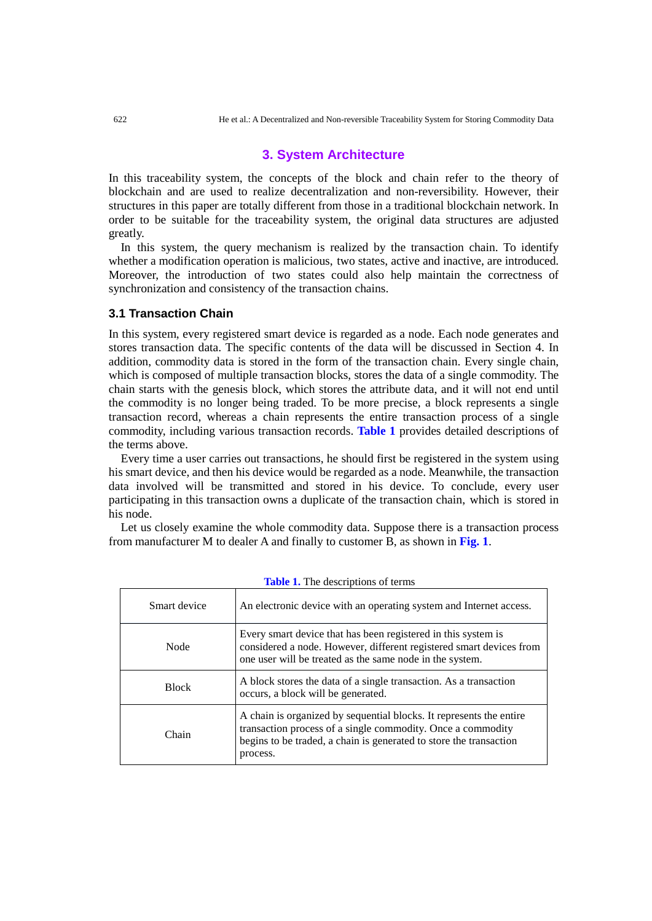## **3. System Architecture**

In this traceability system, the concepts of the block and chain refer to the theory of blockchain and are used to realize decentralization and non-reversibility. However, their structures in this paper are totally different from those in a traditional blockchain network. In order to be suitable for the traceability system, the original data structures are adjusted greatly.

In this system, the query mechanism is realized by the transaction chain. To identify whether a modification operation is malicious, two states, active and inactive, are introduced. Moreover, the introduction of two states could also help maintain the correctness of synchronization and consistency of the transaction chains.

#### **3.1 Transaction Chain**

In this system, every registered smart device is regarded as a node. Each node generates and stores transaction data. The specific contents of the data will be discussed in Section 4. In addition, commodity data is stored in the form of the transaction chain. Every single chain, which is composed of multiple transaction blocks, stores the data of a single commodity. The chain starts with the genesis block, which stores the attribute data, and it will not end until the commodity is no longer being traded. To be more precise, a block represents a single transaction record, whereas a chain represents the entire transaction process of a single commodity, including various transaction records. **Table 1** provides detailed descriptions of the terms above.

Every time a user carries out transactions, he should first be registered in the system using his smart device, and then his device would be regarded as a node. Meanwhile, the transaction data involved will be transmitted and stored in his device. To conclude, every user participating in this transaction owns a duplicate of the transaction chain, which is stored in his node.

Let us closely examine the whole commodity data. Suppose there is a transaction process from manufacturer M to dealer A and finally to customer B, as shown in **Fig. 1**.

| Smart device | An electronic device with an operating system and Internet access.                                                                                                                                                   |  |  |
|--------------|----------------------------------------------------------------------------------------------------------------------------------------------------------------------------------------------------------------------|--|--|
| Node         | Every smart device that has been registered in this system is<br>considered a node. However, different registered smart devices from<br>one user will be treated as the same node in the system.                     |  |  |
| <b>Block</b> | A block stores the data of a single transaction. As a transaction<br>occurs, a block will be generated.                                                                                                              |  |  |
| Chain        | A chain is organized by sequential blocks. It represents the entire<br>transaction process of a single commodity. Once a commodity<br>begins to be traded, a chain is generated to store the transaction<br>process. |  |  |

| <b>Table 1.</b> The descriptions of terms |  |
|-------------------------------------------|--|
|-------------------------------------------|--|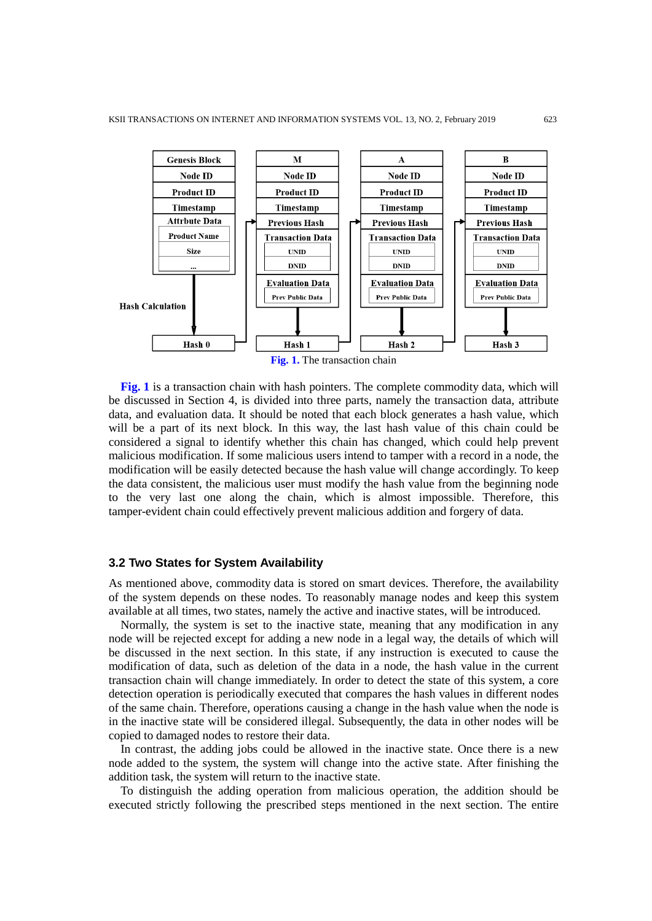

**Fig. 1** is a transaction chain with hash pointers. The complete commodity data, which will be discussed in Section 4, is divided into three parts, namely the transaction data, attribute data, and evaluation data. It should be noted that each block generates a hash value, which will be a part of its next block. In this way, the last hash value of this chain could be considered a signal to identify whether this chain has changed, which could help prevent malicious modification. If some malicious users intend to tamper with a record in a node, the modification will be easily detected because the hash value will change accordingly. To keep the data consistent, the malicious user must modify the hash value from the beginning node to the very last one along the chain, which is almost impossible. Therefore, this tamper-evident chain could effectively prevent malicious addition and forgery of data.

#### **3.2 Two States for System Availability**

As mentioned above, commodity data is stored on smart devices. Therefore, the availability of the system depends on these nodes. To reasonably manage nodes and keep this system available at all times, two states, namely the active and inactive states, will be introduced.

Normally, the system is set to the inactive state, meaning that any modification in any node will be rejected except for adding a new node in a legal way, the details of which will be discussed in the next section. In this state, if any instruction is executed to cause the modification of data, such as deletion of the data in a node, the hash value in the current transaction chain will change immediately. In order to detect the state of this system, a core detection operation is periodically executed that compares the hash values in different nodes of the same chain. Therefore, operations causing a change in the hash value when the node is in the inactive state will be considered illegal. Subsequently, the data in other nodes will be copied to damaged nodes to restore their data.

In contrast, the adding jobs could be allowed in the inactive state. Once there is a new node added to the system, the system will change into the active state. After finishing the addition task, the system will return to the inactive state.

To distinguish the adding operation from malicious operation, the addition should be executed strictly following the prescribed steps mentioned in the next section. The entire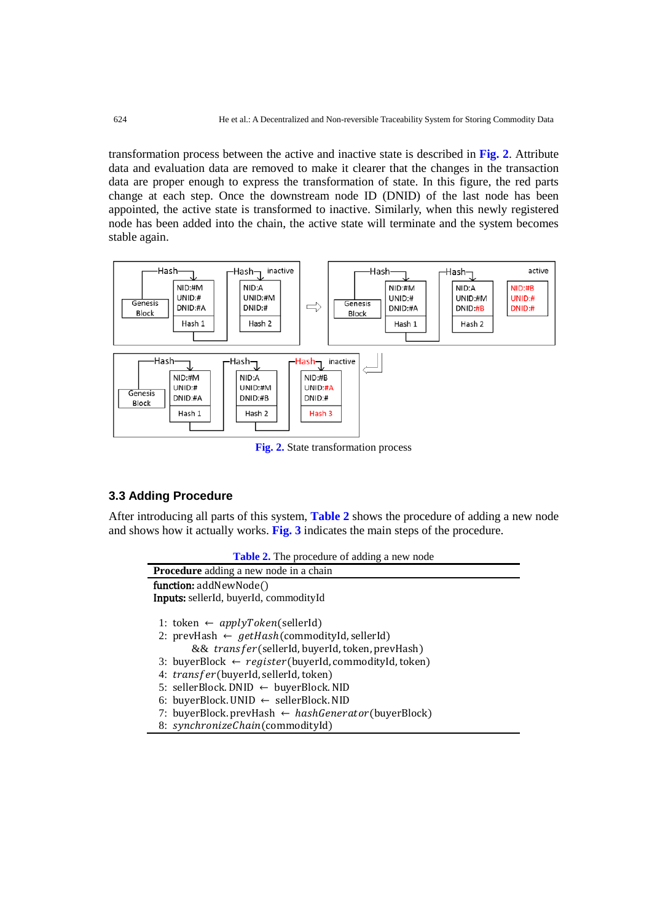transformation process between the active and inactive state is described in **Fig. 2**. Attribute data and evaluation data are removed to make it clearer that the changes in the transaction data are proper enough to express the transformation of state. In this figure, the red parts change at each step. Once the downstream node ID (DNID) of the last node has been appointed, the active state is transformed to inactive. Similarly, when this newly registered node has been added into the chain, the active state will terminate and the system becomes stable again.



**Fig. 2.** State transformation process

## **3.3 Adding Procedure**

After introducing all parts of this system, **Table 2** shows the procedure of adding a new node and shows how it actually works. **Fig. 3** indicates the main steps of the procedure.

|  | <b>Table 2.</b> The procedure of adding a new node |
|--|----------------------------------------------------|
|--|----------------------------------------------------|

| <b>Procedure</b> adding a new node in a chain                    |  |  |  |
|------------------------------------------------------------------|--|--|--|
| function: addNewNode()                                           |  |  |  |
| Inputs: sellerId, buyerId, commodityId                           |  |  |  |
|                                                                  |  |  |  |
| 1: token $\leftarrow applyToken(sellerId)$                       |  |  |  |
| 2: prevHash $\leftarrow getHash(commodityId, sellerId)$          |  |  |  |
| && transfer(sellerId, buyerId, token, prevHash)                  |  |  |  |
| 3: buyerBlock $\leftarrow$ register(buyerId, commodityId, token) |  |  |  |
| 4: transfer(buyerId, sellerId, token)                            |  |  |  |
| 5: sellerBlock. DNID $\leftarrow$ buyerBlock. NID                |  |  |  |
| 6: buyerBlock. UNID $\leftarrow$ sellerBlock. NID                |  |  |  |
| 7: buyerBlock.prevHash $\leftarrow$ hashGenerator(buyerBlock)    |  |  |  |
| 8: synchronizeChain(commodityId)                                 |  |  |  |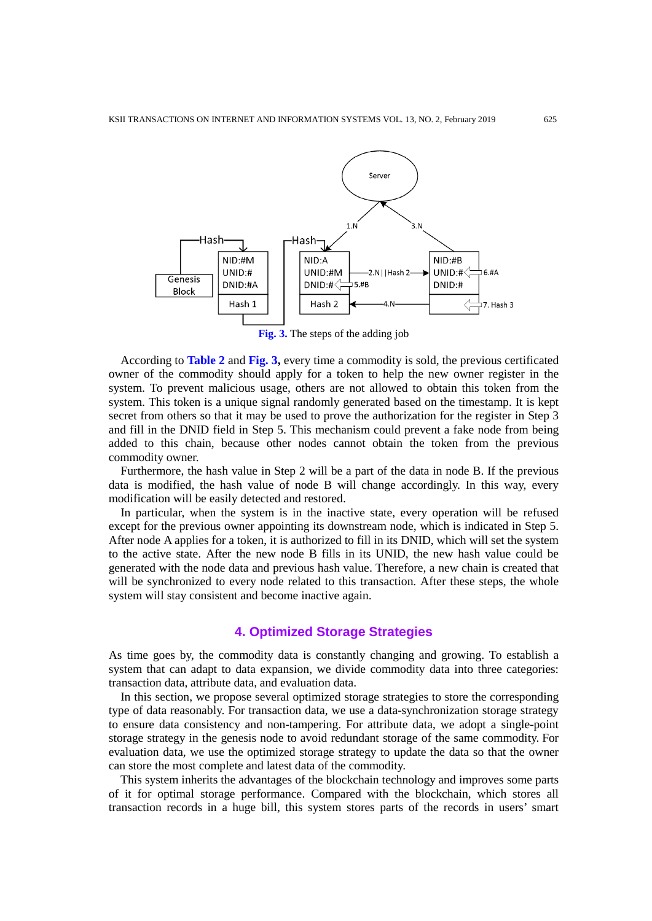

**Fig. 3.** The steps of the adding job

According to **Table 2** and **Fig. 3,** every time a commodity is sold, the previous certificated owner of the commodity should apply for a token to help the new owner register in the system. To prevent malicious usage, others are not allowed to obtain this token from the system. This token is a unique signal randomly generated based on the timestamp. It is kept secret from others so that it may be used to prove the authorization for the register in Step 3 and fill in the DNID field in Step 5. This mechanism could prevent a fake node from being added to this chain, because other nodes cannot obtain the token from the previous commodity owner.

Furthermore, the hash value in Step 2 will be a part of the data in node B. If the previous data is modified, the hash value of node B will change accordingly. In this way, every modification will be easily detected and restored.

In particular, when the system is in the inactive state, every operation will be refused except for the previous owner appointing its downstream node, which is indicated in Step 5. After node A applies for a token, it is authorized to fill in its DNID, which will set the system to the active state. After the new node B fills in its UNID, the new hash value could be generated with the node data and previous hash value. Therefore, a new chain is created that will be synchronized to every node related to this transaction. After these steps, the whole system will stay consistent and become inactive again.

## **4. Optimized Storage Strategies**

As time goes by, the commodity data is constantly changing and growing. To establish a system that can adapt to data expansion, we divide commodity data into three categories: transaction data, attribute data, and evaluation data.

In this section, we propose several optimized storage strategies to store the corresponding type of data reasonably. For transaction data, we use a data-synchronization storage strategy to ensure data consistency and non-tampering. For attribute data, we adopt a single-point storage strategy in the genesis node to avoid redundant storage of the same commodity. For evaluation data, we use the optimized storage strategy to update the data so that the owner can store the most complete and latest data of the commodity.

This system inherits the advantages of the blockchain technology and improves some parts of it for optimal storage performance. Compared with the blockchain, which stores all transaction records in a huge bill, this system stores parts of the records in users' smart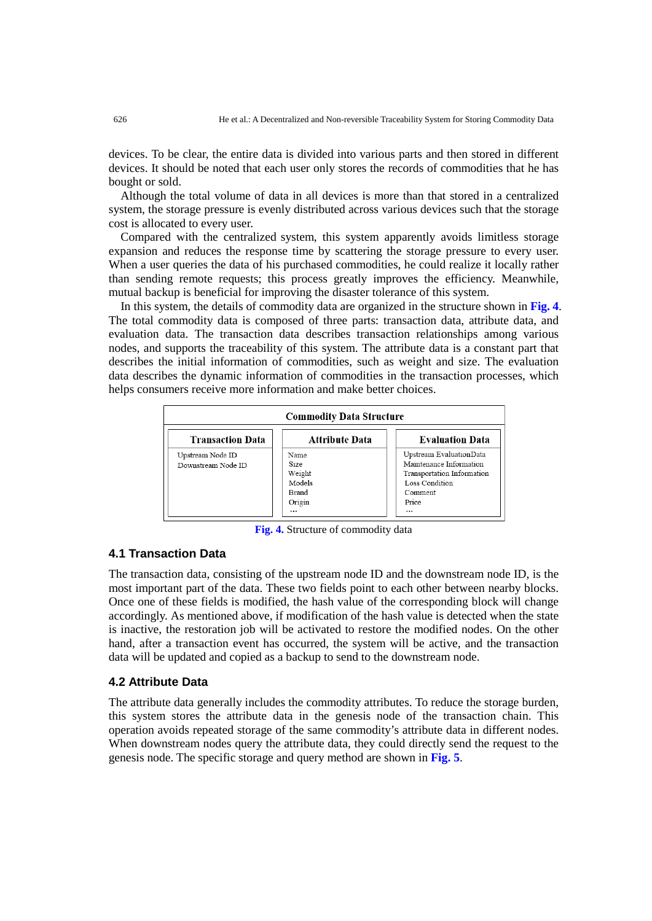devices. To be clear, the entire data is divided into various parts and then stored in different devices. It should be noted that each user only stores the records of commodities that he has bought or sold.

Although the total volume of data in all devices is more than that stored in a centralized system, the storage pressure is evenly distributed across various devices such that the storage cost is allocated to every user.

Compared with the centralized system, this system apparently avoids limitless storage expansion and reduces the response time by scattering the storage pressure to every user. When a user queries the data of his purchased commodities, he could realize it locally rather than sending remote requests; this process greatly improves the efficiency. Meanwhile, mutual backup is beneficial for improving the disaster tolerance of this system.

In this system, the details of commodity data are organized in the structure shown in **Fig. 4**. The total commodity data is composed of three parts: transaction data, attribute data, and evaluation data. The transaction data describes transaction relationships among various nodes, and supports the traceability of this system. The attribute data is a constant part that describes the initial information of commodities, such as weight and size. The evaluation data describes the dynamic information of commodities in the transaction processes, which helps consumers receive more information and make better choices.



**Fig. 4.** Structure of commodity data

## **4.1 Transaction Data**

The transaction data, consisting of the upstream node ID and the downstream node ID, is the most important part of the data. These two fields point to each other between nearby blocks. Once one of these fields is modified, the hash value of the corresponding block will change accordingly. As mentioned above, if modification of the hash value is detected when the state is inactive, the restoration job will be activated to restore the modified nodes. On the other hand, after a transaction event has occurred, the system will be active, and the transaction data will be updated and copied as a backup to send to the downstream node.

#### **4.2 Attribute Data**

The attribute data generally includes the commodity attributes. To reduce the storage burden, this system stores the attribute data in the genesis node of the transaction chain. This operation avoids repeated storage of the same commodity's attribute data in different nodes. When downstream nodes query the attribute data, they could directly send the request to the genesis node. The specific storage and query method are shown in **Fig. 5**.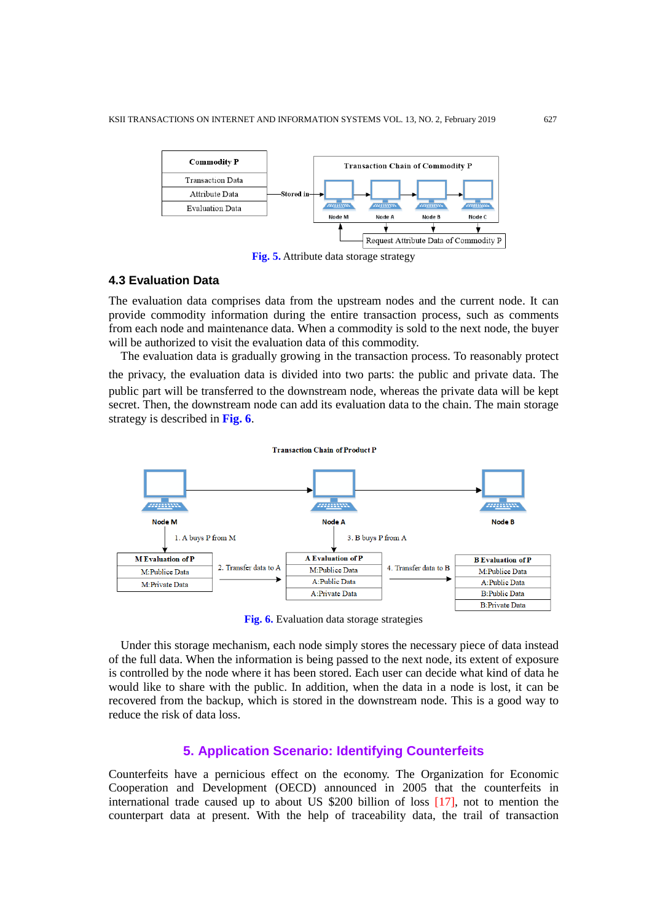

**Fig. 5.** Attribute data storage strategy

## **4.3 Evaluation Data**

The evaluation data comprises data from the upstream nodes and the current node. It can provide commodity information during the entire transaction process, such as comments from each node and maintenance data. When a commodity is sold to the next node, the buyer will be authorized to visit the evaluation data of this commodity.

The evaluation data is gradually growing in the transaction process. To reasonably protect the privacy, the evaluation data is divided into two parts: the public and private data. The public part will be transferred to the downstream node, whereas the private data will be kept secret. Then, the downstream node can add its evaluation data to the chain. The main storage strategy is described in **Fig. 6**.



**Fig. 6.** Evaluation data storage strategies

Under this storage mechanism, each node simply stores the necessary piece of data instead of the full data. When the information is being passed to the next node, its extent of exposure is controlled by the node where it has been stored. Each user can decide what kind of data he would like to share with the public. In addition, when the data in a node is lost, it can be recovered from the backup, which is stored in the downstream node. This is a good way to reduce the risk of data loss.

## **5. Application Scenario: Identifying Counterfeits**

Counterfeits have a pernicious effect on the economy. The Organization for Economic Cooperation and Development (OECD) announced in 2005 that the counterfeits in international trade caused up to about US \$200 billion of loss [17], not to mention the counterpart data at present. With the help of traceability data, the trail of transaction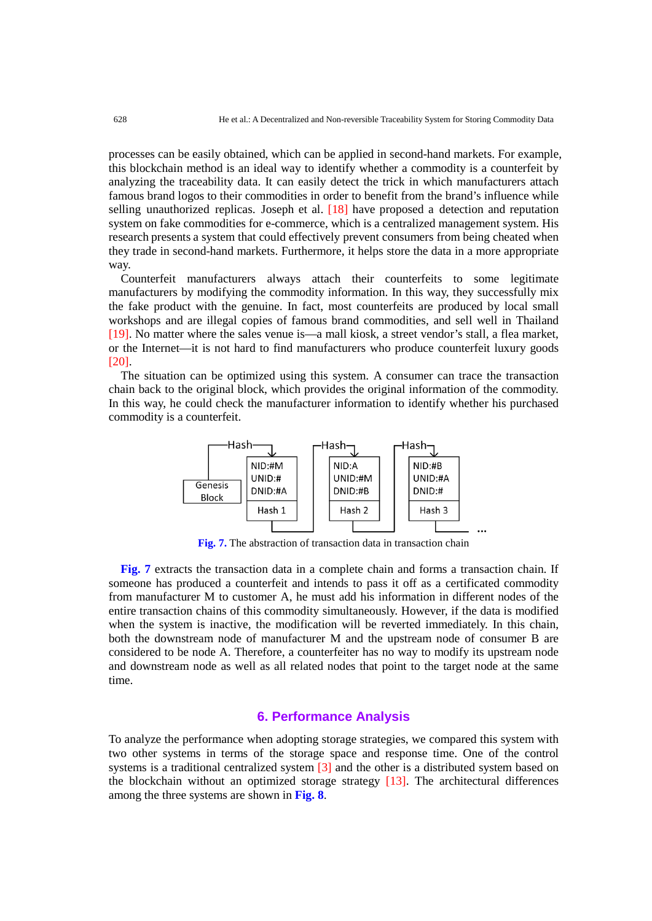processes can be easily obtained, which can be applied in second-hand markets. For example, this blockchain method is an ideal way to identify whether a commodity is a counterfeit by analyzing the traceability data. It can easily detect the trick in which manufacturers attach famous brand logos to their commodities in order to benefit from the brand's influence while selling unauthorized replicas. Joseph et al. [18] have proposed a detection and reputation system on fake commodities for e-commerce, which is a centralized management system. His research presents a system that could effectively prevent consumers from being cheated when they trade in second-hand markets. Furthermore, it helps store the data in a more appropriate way.

Counterfeit manufacturers always attach their counterfeits to some legitimate manufacturers by modifying the commodity information. In this way, they successfully mix the fake product with the genuine. In fact, most counterfeits are produced by local small workshops and are illegal copies of famous brand commodities, and sell well in Thailand [19]. No matter where the sales venue is—a mall kiosk, a street vendor's stall, a flea market, or the Internet—it is not hard to find manufacturers who produce counterfeit luxury goods [20].

The situation can be optimized using this system. A consumer can trace the transaction chain back to the original block, which provides the original information of the commodity. In this way, he could check the manufacturer information to identify whether his purchased commodity is a counterfeit.



**Fig. 7.** The abstraction of transaction data in transaction chain

**Fig. 7** extracts the transaction data in a complete chain and forms a transaction chain. If someone has produced a counterfeit and intends to pass it off as a certificated commodity from manufacturer M to customer A, he must add his information in different nodes of the entire transaction chains of this commodity simultaneously. However, if the data is modified when the system is inactive, the modification will be reverted immediately. In this chain, both the downstream node of manufacturer M and the upstream node of consumer B are considered to be node A. Therefore, a counterfeiter has no way to modify its upstream node and downstream node as well as all related nodes that point to the target node at the same time.

### **6. Performance Analysis**

To analyze the performance when adopting storage strategies, we compared this system with two other systems in terms of the storage space and response time. One of the control systems is a traditional centralized system [3] and the other is a distributed system based on the blockchain without an optimized storage strategy [13]. The architectural differences among the three systems are shown in **Fig. 8**.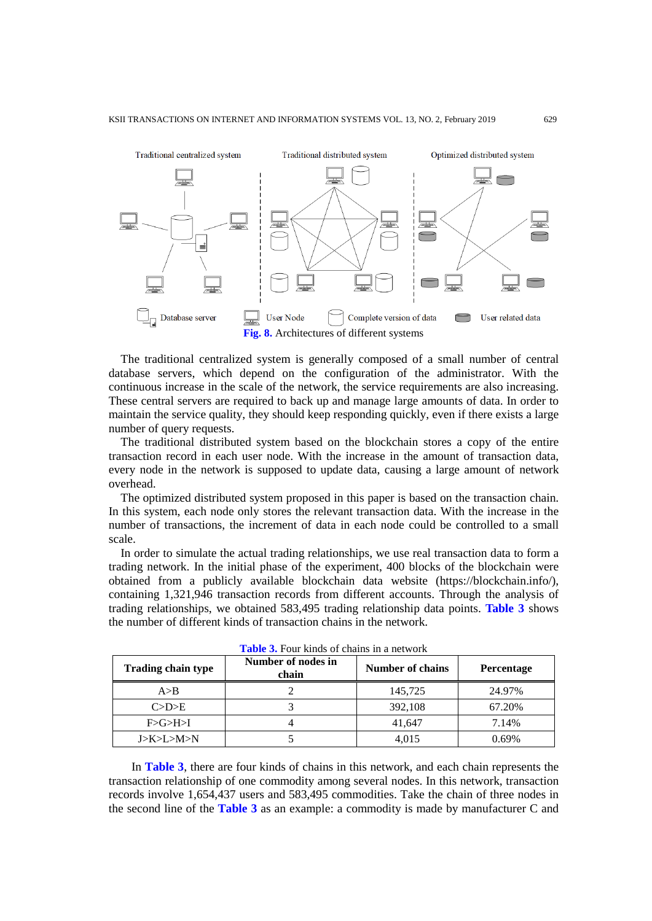

The traditional centralized system is generally composed of a small number of central database servers, which depend on the configuration of the administrator. With the continuous increase in the scale of the network, the service requirements are also increasing. These central servers are required to back up and manage large amounts of data. In order to maintain the service quality, they should keep responding quickly, even if there exists a large number of query requests.

The traditional distributed system based on the blockchain stores a copy of the entire transaction record in each user node. With the increase in the amount of transaction data, every node in the network is supposed to update data, causing a large amount of network overhead.

The optimized distributed system proposed in this paper is based on the transaction chain. In this system, each node only stores the relevant transaction data. With the increase in the number of transactions, the increment of data in each node could be controlled to a small scale.

In order to simulate the actual trading relationships, we use real transaction data to form a trading network. In the initial phase of the experiment, 400 blocks of the blockchain were obtained from a publicly available blockchain data website (https://blockchain.info/), containing 1,321,946 transaction records from different accounts. Through the analysis of trading relationships, we obtained 583,495 trading relationship data points. **Table 3** shows the number of different kinds of transaction chains in the network.

| <b>Trading chain type</b> | Number of nodes in<br>chain | Number of chains | <b>Percentage</b> |  |
|---------------------------|-----------------------------|------------------|-------------------|--|
| A>B                       |                             | 145,725          | 24.97%            |  |
| C>D>E                     |                             | 392,108          | 67.20%            |  |
| F > G > H > I             | 41,647                      |                  | 7.14%             |  |
| J>K>L>M>N                 |                             | 4,015            | 0.69%             |  |

**Table 3.** Four kinds of chains in a network

In **Table 3**, there are four kinds of chains in this network, and each chain represents the transaction relationship of one commodity among several nodes. In this network, transaction records involve 1,654,437 users and 583,495 commodities. Take the chain of three nodes in the second line of the **Table 3** as an example: a commodity is made by manufacturer C and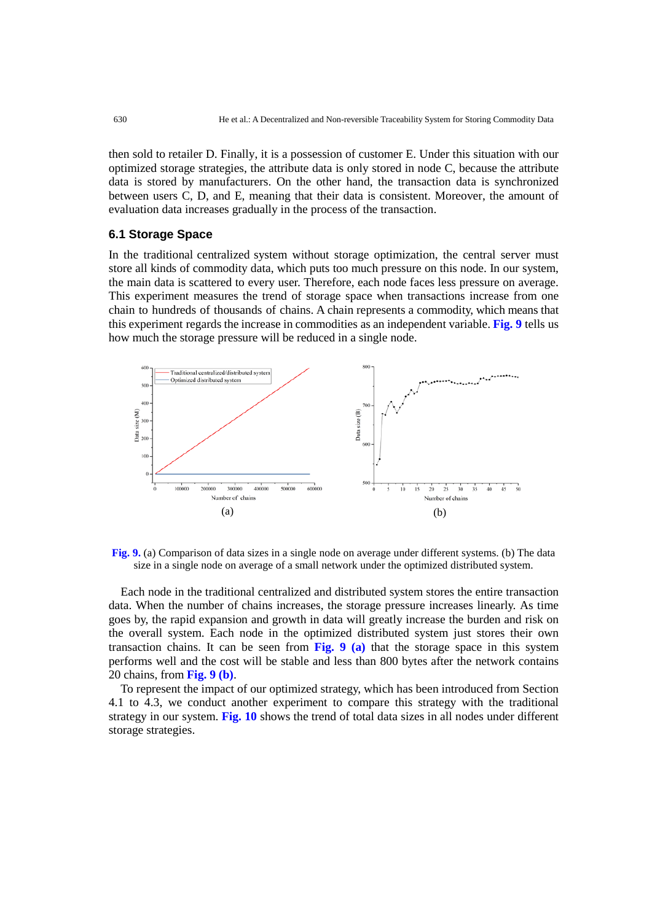then sold to retailer D. Finally, it is a possession of customer E. Under this situation with our optimized storage strategies, the attribute data is only stored in node C, because the attribute data is stored by manufacturers. On the other hand, the transaction data is synchronized between users C, D, and E, meaning that their data is consistent. Moreover, the amount of evaluation data increases gradually in the process of the transaction.

## **6.1 Storage Space**

In the traditional centralized system without storage optimization, the central server must store all kinds of commodity data, which puts too much pressure on this node. In our system, the main data is scattered to every user. Therefore, each node faces less pressure on average. This experiment measures the trend of storage space when transactions increase from one chain to hundreds of thousands of chains. A chain represents a commodity, which means that this experiment regards the increase in commodities as an independent variable. **Fig. 9** tells us how much the storage pressure will be reduced in a single node.





Each node in the traditional centralized and distributed system stores the entire transaction data. When the number of chains increases, the storage pressure increases linearly. As time goes by, the rapid expansion and growth in data will greatly increase the burden and risk on the overall system. Each node in the optimized distributed system just stores their own transaction chains. It can be seen from **Fig. 9 (a)** that the storage space in this system performs well and the cost will be stable and less than 800 bytes after the network contains 20 chains, from **Fig. 9 (b)**.

To represent the impact of our optimized strategy, which has been introduced from Section 4.1 to 4.3, we conduct another experiment to compare this strategy with the traditional strategy in our system. **Fig. 10** shows the trend of total data sizes in all nodes under different storage strategies.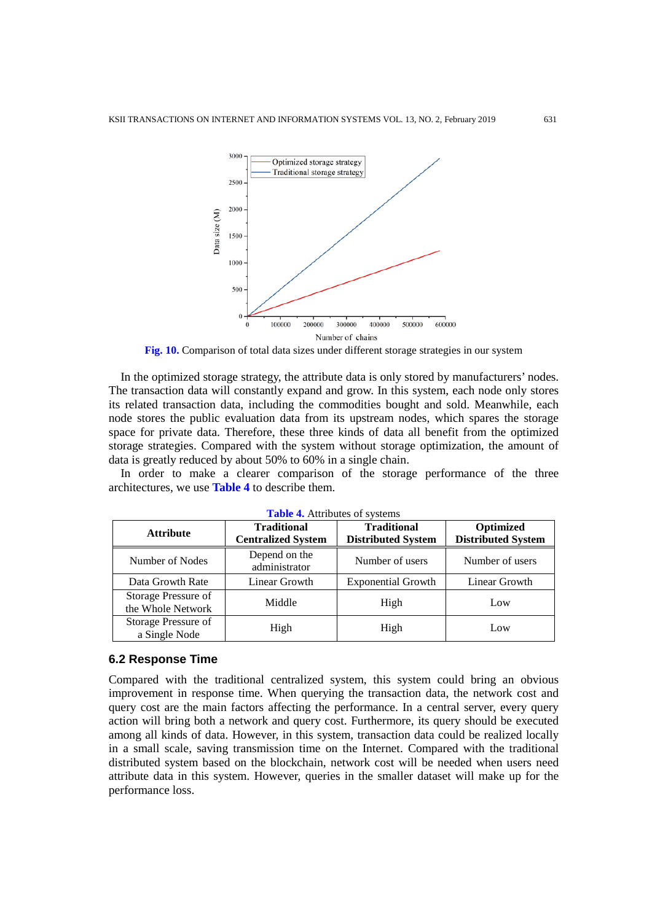

**Fig. 10.** Comparison of total data sizes under different storage strategies in our system

In the optimized storage strategy, the attribute data is only stored by manufacturers' nodes. The transaction data will constantly expand and grow. In this system, each node only stores its related transaction data, including the commodities bought and sold. Meanwhile, each node stores the public evaluation data from its upstream nodes, which spares the storage space for private data. Therefore, these three kinds of data all benefit from the optimized storage strategies. Compared with the system without storage optimization, the amount of data is greatly reduced by about 50% to 60% in a single chain.

In order to make a clearer comparison of the storage performance of the three architectures, we use **Table 4** to describe them.

| $\blacksquare$                           |                                                 |                                                 |                                        |  |  |
|------------------------------------------|-------------------------------------------------|-------------------------------------------------|----------------------------------------|--|--|
| <b>Attribute</b>                         | <b>Traditional</b><br><b>Centralized System</b> | <b>Traditional</b><br><b>Distributed System</b> | Optimized<br><b>Distributed System</b> |  |  |
| Number of Nodes                          | Depend on the<br>administrator                  | Number of users                                 | Number of users                        |  |  |
| Data Growth Rate                         | Linear Growth                                   | <b>Exponential Growth</b>                       | Linear Growth                          |  |  |
| Storage Pressure of<br>the Whole Network | Middle<br>High                                  |                                                 | Low                                    |  |  |
| Storage Pressure of<br>a Single Node     | High                                            | High                                            | Low                                    |  |  |

**Table 4.** Attributes of systems

#### **6.2 Response Time**

Compared with the traditional centralized system, this system could bring an obvious improvement in response time. When querying the transaction data, the network cost and query cost are the main factors affecting the performance. In a central server, every query action will bring both a network and query cost. Furthermore, its query should be executed among all kinds of data. However, in this system, transaction data could be realized locally in a small scale, saving transmission time on the Internet. Compared with the traditional distributed system based on the blockchain, network cost will be needed when users need attribute data in this system. However, queries in the smaller dataset will make up for the performance loss.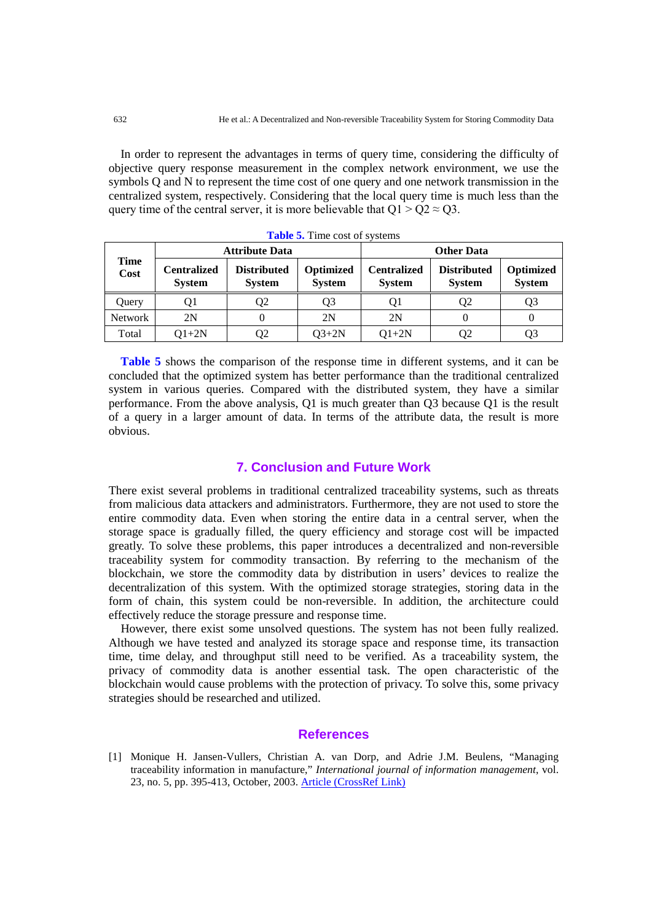In order to represent the advantages in terms of query time, considering the difficulty of objective query response measurement in the complex network environment, we use the symbols Q and N to represent the time cost of one query and one network transmission in the centralized system, respectively. Considering that the local query time is much less than the query time of the central server, it is more believable that  $Q1 > Q2 \approx Q3$ .

| <b>Time</b><br>Cost | <b>Attribute Data</b>               |                                     |                            | <b>Other Data</b>                   |                                     |                            |
|---------------------|-------------------------------------|-------------------------------------|----------------------------|-------------------------------------|-------------------------------------|----------------------------|
|                     | <b>Centralized</b><br><b>System</b> | <b>Distributed</b><br><b>System</b> | Optimized<br><b>System</b> | <b>Centralized</b><br><b>System</b> | <b>Distributed</b><br><b>System</b> | Optimized<br><b>System</b> |
| Query               | Ql                                  | Q2                                  | Q3                         | O1                                  | Q2                                  | Q3                         |
| <b>Network</b>      | 2N                                  |                                     | 2N                         | 2N                                  |                                     |                            |
| Total               | $O1+2N$                             | Q2                                  | $Q3+2N$                    | $Q1+2N$                             | O2                                  | Q3                         |

**Table 5.** Time cost of systems

**Table 5** shows the comparison of the response time in different systems, and it can be concluded that the optimized system has better performance than the traditional centralized system in various queries. Compared with the distributed system, they have a similar performance. From the above analysis, Q1 is much greater than Q3 because Q1 is the result of a query in a larger amount of data. In terms of the attribute data, the result is more obvious.

## **7. Conclusion and Future Work**

There exist several problems in traditional centralized traceability systems, such as threats from malicious data attackers and administrators. Furthermore, they are not used to store the entire commodity data. Even when storing the entire data in a central server, when the storage space is gradually filled, the query efficiency and storage cost will be impacted greatly. To solve these problems, this paper introduces a decentralized and non-reversible traceability system for commodity transaction. By referring to the mechanism of the blockchain, we store the commodity data by distribution in users' devices to realize the decentralization of this system. With the optimized storage strategies, storing data in the form of chain, this system could be non-reversible. In addition, the architecture could effectively reduce the storage pressure and response time.

However, there exist some unsolved questions. The system has not been fully realized. Although we have tested and analyzed its storage space and response time, its transaction time, time delay, and throughput still need to be verified. As a traceability system, the privacy of commodity data is another essential task. The open characteristic of the blockchain would cause problems with the protection of privacy. To solve this, some privacy strategies should be researched and utilized.

### **References**

[1] Monique H. Jansen-Vullers, Christian A. van Dorp, and Adrie J.M. Beulens, "Managing traceability information in manufacture," *International journal of information management*, vol. 23, no. 5, pp. 395-413, October, 2003. [Article \(CrossRef Link\)](https://doi.org/10.1016/S0268-4012(03)00066-5)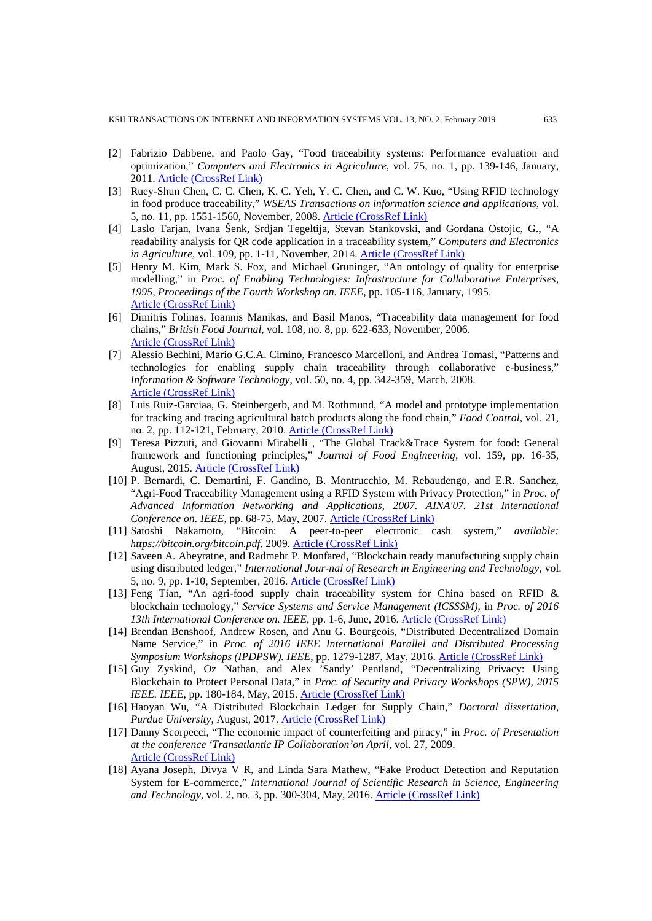- [2] Fabrizio Dabbene, and Paolo Gay, "Food traceability systems: Performance evaluation and optimization," *Computers and Electronics in Agriculture*, vol. 75, no. 1, pp. 139-146, January, 2011. [Article \(CrossRef Link\)](https://doi.org/10.1016/j.compag.2010.10.009)
- [3] Ruey-Shun Chen, C. C. Chen, K. C. Yeh, Y. C. Chen, and C. W. Kuo, "Using RFID technology in food produce traceability," *WSEAS Transactions on information science and applications*, vol. 5, no. 11, pp. 1551-1560, November, 2008. [Article \(CrossRef Link\)](https://dl.acm.org/citation.cfm?id=1562410)
- [4] Laslo Tarjan, Ivana Šenk, Srdjan Tegeltija, Stevan Stankovski, and Gordana Ostojic, G., "A readability analysis for QR code application in a traceability system," *Computers and Electronics in Agriculture*, vol. 109, pp. 1-11, November, 2014. [Article \(CrossRef Link\)](https://doi.org/10.1016/j.compag.2014.08.015)
- [5] Henry M. Kim, Mark S. Fox, and Michael Gruninger, "An ontology of quality for enterprise modelling," in *Proc. of Enabling Technologies: Infrastructure for Collaborative Enterprises, 1995, Proceedings of the Fourth Workshop on. IEEE*, pp. 105-116, January, 1995. [Article \(CrossRef Link\)](https://ieeexplore.ieee.org/abstract/document/484554/)
- [6] Dimitris Folinas, Ioannis Manikas, and Basil Manos, "Traceability data management for food chains," *British Food Journal*, vol. 108, no. 8, pp. 622-633, November, 2006. [Article \(CrossRef Link\)](https://doi.org/10.1108/00070700610682319)
- [7] Alessio Bechini, Mario G.C.A. Cimino, Francesco Marcelloni, and Andrea Tomasi, "Patterns and technologies for enabling supply chain traceability through collaborative e-business," *Information & Software Technology*, vol. 50, no. 4, pp. 342-359, March, 2008. [Article \(CrossRef Link\)](https://doi.org/10.1016/j.infsof.2007.02.017)
- [8] Luis Ruiz-Garciaa, G. Steinbergerb, and M. Rothmund, "A model and prototype implementation for tracking and tracing agricultural batch products along the food chain," *Food Control*, vol. 21, no. 2, pp. 112-121, February, 2010. [Article \(CrossRef Link\)](https://doi.org/10.1016/j.foodcont.2008.12.003)
- [9] Teresa Pizzuti, and Giovanni Mirabelli , "The Global Track&Trace System for food: General framework and functioning principles," *Journal of Food Engineering*, vol. 159, pp. 16-35, August, 2015. [Article \(CrossRef Link\)](https://doi.org/10.1016/j.jfoodeng.2015.03.001)
- [10] P. Bernardi, C. Demartini, F. Gandino, B. Montrucchio, M. Rebaudengo, and E.R. Sanchez, "Agri-Food Traceability Management using a RFID System with Privacy Protection," in *Proc. of Advanced Information Networking and Applications, 2007. AINA'07. 21st International Conference on. IEEE*, pp. 68-75, May, 2007. [Article \(CrossRef Link\)](https://ieeexplore.ieee.org/abstract/document/4220878/)
- [11] Satoshi Nakamoto, "Bitcoin: A peer-to-peer electronic cash system," *available: https://bitcoin.org/bitcoin.pdf*, 2009. [Article \(CrossRef Link\)](https://bitcoin.org/bitcoin.pdf)
- [12] Saveen A. Abeyratne, and Radmehr P. Monfared, "Blockchain ready manufacturing supply chain using distributed ledger," *International Jour-nal of Research in Engineering and Technology*, vol. 5, no. 9, pp. 1-10, September, 2016. [Article \(CrossRef Link\)](https://dspace.lboro.ac.uk/dspace-jspui/handle/2134/22625)
- [13] Feng Tian, "An agri-food supply chain traceability system for China based on RFID & blockchain technology," *Service Systems and Service Management (ICSSSM),* in *Proc. of 2016 13th International Conference on. IEEE*, pp. 1-6, June, 2016. [Article \(CrossRef Link\)](https://ieeexplore.ieee.org/abstract/document/7538424/)
- [14] Brendan Benshoof, Andrew Rosen, and Anu G. Bourgeois, "Distributed Decentralized Domain Name Service," in *Proc. of 2016 IEEE International Parallel and Distributed Processing Symposium Workshops (IPDPSW). IEEE*, pp. 1279-1287, May, 2016. [Article \(CrossRef Link\)](https://ieeexplore.ieee.org/abstract/document/7530014/)
- [15] Guy Zyskind, Oz Nathan, and Alex 'Sandy' Pentland, "Decentralizing Privacy: Using Blockchain to Protect Personal Data," in *Proc. of Security and Privacy Workshops (SPW), 2015 IEEE. IEEE*, pp. 180-184, May, 2015. [Article \(CrossRef Link\)](https://ieeexplore.ieee.org/abstract/document/7163223/)
- [16] Haoyan Wu, "A Distributed Blockchain Ledger for Supply Chain," *Doctoral dissertation, Purdue University*, August, 2017. [Article \(CrossRef Link\)](https://scholarworks.iupui.edu/handle/1805/13602)
- [17] Danny Scorpecci, "The economic impact of counterfeiting and piracy," in *Proc. of Presentation at the conference 'Transatlantic IP Collaboration'on April*, vol. 27, 2009. [Article \(CrossRef Link\)](http://ipr-policy.eu/media/pts/1/04_Scorpecci,_The_Economic_Impact_of_Counterfeiting_and_Piracy.pdf)
- [18] Ayana Joseph, Divya V R, and Linda Sara Mathew, "Fake Product Detection and Reputation System for E-commerce," *International Journal of Scientific Research in Science, Engineering and Technology*, vol. 2, no. 3, pp. 300-304, May, 2016. [Article \(CrossRef Link\)](http://ijsrset.com/paper/1390.pdf)